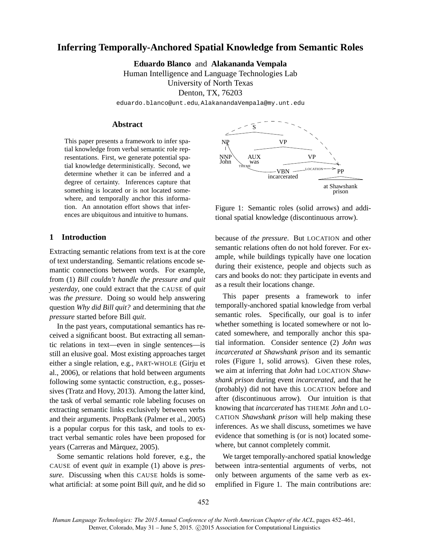# **Inferring Temporally-Anchored Spatial Knowledge from Semantic Roles**

**Eduardo Blanco** and **Alakananda Vempala** Human Intelligence and Language Technologies Lab University of North Texas Denton, TX, 76203

eduardo.blanco@unt.edu, AlakanandaVempala@my.unt.edu

# **Abstract**

This paper presents a framework to infer spatial knowledge from verbal semantic role representations. First, we generate potential spatial knowledge deterministically. Second, we determine whether it can be inferred and a degree of certainty. Inferences capture that something is located or is not located somewhere, and temporally anchor this information. An annotation effort shows that inferences are ubiquitous and intuitive to humans.

# **1 Introduction**

Extracting semantic relations from text is at the core of text understanding. Semantic relations encode semantic connections between words. For example, from (1) *Bill couldn't handle the pressure and quit yesterday*, one could extract that the CAUSE of *quit* was *the pressure*. Doing so would help answering question *Why did Bill quit?* and determining that *the pressure* started before Bill *quit*.

In the past years, computational semantics has received a significant boost. But extracting all semantic relations in text—even in single sentences—is still an elusive goal. Most existing approaches target either a single relation, e.g., PART-WHOLE (Girju et al., 2006), or relations that hold between arguments following some syntactic construction, e.g., possessives (Tratz and Hovy, 2013). Among the latter kind, the task of verbal semantic role labeling focuses on extracting semantic links exclusively between verbs and their arguments. PropBank (Palmer et al., 2005) is a popular corpus for this task, and tools to extract verbal semantic roles have been proposed for years (Carreras and Màrquez, 2005).

Some semantic relations hold forever, e.g., the CAUSE of event *quit* in example (1) above is *pressure*. Discussing when this CAUSE holds is somewhat artificial: at some point Bill *quit*, and he did so



Figure 1: Semantic roles (solid arrows) and additional spatial knowledge (discontinuous arrow).

because of *the pressure*. But LOCATION and other semantic relations often do not hold forever. For example, while buildings typically have one location during their existence, people and objects such as cars and books do not: they participate in events and as a result their locations change.

This paper presents a framework to infer temporally-anchored spatial knowledge from verbal semantic roles. Specifically, our goal is to infer whether something is located somewhere or not located somewhere, and temporally anchor this spatial information. Consider sentence (2) *John was incarcerated at Shawshank prison* and its semantic roles (Figure 1, solid arrows). Given these roles, we aim at inferring that *John* had LOCATION *Shawshank prison* during event *incarcerated*, and that he (probably) did not have this LOCATION before and after (discontinuous arrow). Our intuition is that knowing that *incarcerated* has THEME *John* and LO-CATION *Shawshank prison* will help making these inferences. As we shall discuss, sometimes we have evidence that something is (or is not) located somewhere, but cannot completely commit.

We target temporally-anchored spatial knowledge between intra-sentential arguments of verbs, not only between arguments of the same verb as exemplified in Figure 1. The main contributions are: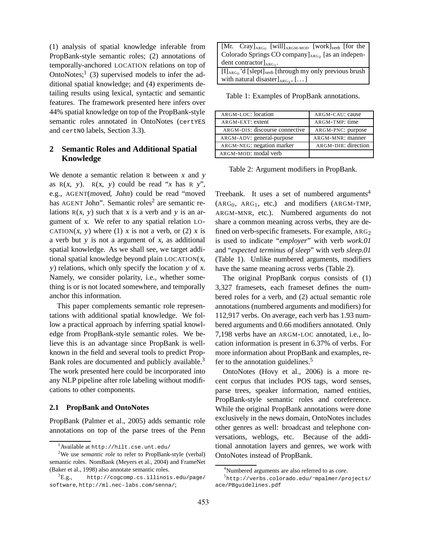(1) analysis of spatial knowledge inferable from PropBank-style semantic roles; (2) annotations of temporally-anchored LOCATION relations on top of OntoNotes; $\frac{1}{3}$  (3) supervised models to infer the additional spatial knowledge; and (4) experiments detailing results using lexical, syntactic and semantic features. The framework presented here infers over 44% spatial knowledge on top of the PropBank-style semantic roles annotated in OntoNotes (certYES and certNo labels, Section 3.3).

# **2 Semantic Roles and Additional Spatial Knowledge**

We denote a semantic relation R between x and y as  $R(x, y)$ .  $R(x, y)$  could be read "*x* has  $R(y)$ ", e.g., AGENT(moved, John) could be read "moved has AGENT John". Semantic roles<sup>2</sup> are semantic relations  $R(x, y)$  such that x is a verb and y is an argument of <sup>x</sup>. We refer to any spatial relation LO-CATION $(x, y)$  where  $(1)$  x is not a verb, or  $(2)$  x is a verb but <sup>y</sup> is not a argument of <sup>x</sup>, as additional spatial knowledge. As we shall see, we target additional spatial knowledge beyond plain  $LOGATION(X,$ <sup>y</sup>) relations, which only specify the location <sup>y</sup> of <sup>x</sup>. Namely, we consider polarity, i.e., whether something is or is not located somewhere, and temporally anchor this information.

This paper complements semantic role representations with additional spatial knowledge. We follow a practical approach by inferring spatial knowledge from PropBank-style semantic roles. We believe this is an advantage since PropBank is wellknown in the field and several tools to predict Prop-Bank roles are documented and publicly available.<sup>3</sup> The work presented here could be incorporated into any NLP pipeline after role labeling without modifications to other components.

#### **2.1 PropBank and OntoNotes**

PropBank (Palmer et al., 2005) adds semantic role annotations on top of the parse trees of the Penn

| [Mr. Cray] <sub>ARG0</sub> [will] <sub>ARGM-MOD</sub> [work] <sub>verb</sub> [for the ]           |
|---------------------------------------------------------------------------------------------------|
| Colorado Springs CO company $]_{\text{ARG}_2}$ [as an indepen-                                    |
| dent contractor $\vert_{ABC_1}$ .                                                                 |
| $\left[\text{II}_{\text{ARG}_0}\right]$ d [slept] <sub>verb</sub> [through my only previous brush |
| with natural disaster] $_{\text{ARG}_2}$ , []                                                     |

Table 1: Examples of PropBank annotations.

| ARGM-LOC: location             | ARGM-CAU: cause     |
|--------------------------------|---------------------|
| ARGM-EXT: extent               | ARGM-TMP: time      |
| ARGM-DIS: discourse connective | ARGM-PNC: purpose   |
| ARGM-ADV: general-purpose      | ARGM-MNR: manner    |
| ARGM-NEG: negation marker      | ARGM-DIR: direction |
| ARGM-MOD: modal verb           |                     |

Table 2: Argument modifiers in PropBank.

Treebank. It uses a set of numbered arguments<sup>4</sup>  $(ARG<sub>0</sub>, ARG<sub>1</sub>, etc.)$  and modifiers  $(ARGM-TMP,$ ARGM-MNR, etc.). Numbered arguments do not share a common meaning across verbs, they are defined on verb-specific framesets. For example,  $ARG<sub>2</sub>$ is used to indicate "*employer*" with verb *work.01* and "*expected terminus of sleep*" with verb *sleep.01* (Table 1). Unlike numbered arguments, modifiers have the same meaning across verbs (Table 2).

The original PropBank corpus consists of (1) 3,327 framesets, each frameset defines the numbered roles for a verb, and (2) actual semantic role annotations (numbered arguments and modifiers) for 112,917 verbs. On average, each verb has 1.93 numbered arguments and 0.66 modifiers annotated. Only 7,198 verbs have an ARGM-LOC annotated, i.e., location information is present in 6.37% of verbs. For more information about PropBank and examples, refer to the annotation guidelines.<sup>5</sup>

OntoNotes (Hovy et al., 2006) is a more recent corpus that includes POS tags, word senses, parse trees, speaker information, named entities, PropBank-style semantic roles and coreference. While the original PropBank annotations were done exclusively in the news domain, OntoNotes includes other genres as well: broadcast and telephone conversations, weblogs, etc. Because of the additional annotation layers and genres, we work with OntoNotes instead of PropBank.

 $^{\rm 1}$ Available at <code>http://hilt.cse.unt.edu/</code>

<sup>&</sup>lt;sup>2</sup>We use *semantic role* to refer to PropBank-style (verbal) semantic roles. NomBank (Meyers et al., 2004) and FrameNet (Baker et al., 1998) also annotate semantic roles.

 ${}^{3}E.g.,$  http://cogcomp.cs.illinois.edu/page/ software, http://ml.nec-labs.com/senna/;

<sup>4</sup>Numbered arguments are also referred to as *core*.

<sup>5</sup> http://verbs.colorado.edu/˜mpalmer/projects/ ace/PBguidelines.pdf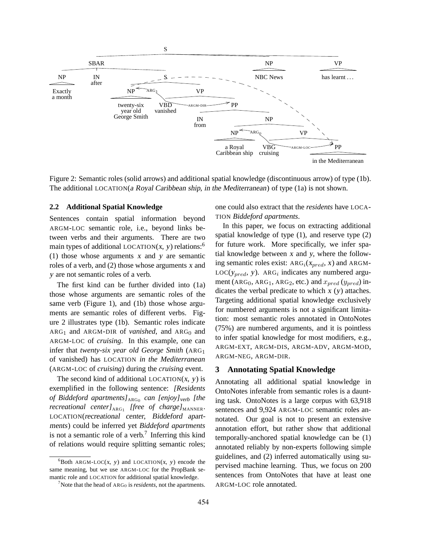

Figure 2: Semantic roles (solid arrows) and additional spatial knowledge (discontinuous arrow) of type (1b). The additional LOCATION(<sup>a</sup> Royal Caribbean ship, in the Mediterranean) of type (1a) is not shown.

#### **2.2 Additional Spatial Knowledge**

Sentences contain spatial information beyond ARGM-LOC semantic role, i.e., beyond links between verbs and their arguments. There are two main types of additional LOCATION $(x, y)$  relations:<sup>6</sup> (1) those whose arguments <sup>x</sup> and <sup>y</sup> are semantic roles of a verb, and (2) those whose arguments <sup>x</sup> and <sup>y</sup> are not semantic roles of a verb.

The first kind can be further divided into (1a) those whose arguments are semantic roles of the same verb (Figure 1), and (1b) those whose arguments are semantic roles of different verbs. Figure 2 illustrates type (1b). Semantic roles indicate  $ARG<sub>1</sub>$  and ARGM-DIR of *vanished*, and ARG<sub>0</sub> and ARGM-LOC of *cruising*. In this example, one can infer that *twenty-six year old George Smith* (ARG<sup>1</sup> of vanished) has LOCATION *in the Mediterranean* (ARGM-LOC of *cruising*) during the *cruising* event.

The second kind of additional LOCATION $(x, y)$  is exemplified in the following sentence: *[Residents of Biddeford apartments]*ARG<sup>0</sup> *can [enjoy]*verb *[the*  $recreational$  center]<sub>ARG1</sub> [free of charge]<sub>MANNER</sub>. LOCATION(recreational center, Biddeford apartments) could be inferred yet *Biddeford apartments* is not a semantic role of a verb.<sup>7</sup> Inferring this kind of relations would require splitting semantic roles; one could also extract that the *residents* have LOCA-TION *Biddeford apartments*.

In this paper, we focus on extracting additional spatial knowledge of type (1), and reserve type (2) for future work. More specifically, we infer spatial knowledge between <sup>x</sup> and <sup>y</sup>, where the following semantic roles exist:  $ARG<sub>i</sub>(x<sub>pred</sub>, x)$  and ARGM- $LOC(y_{pred}, y)$ . ARG<sub>i</sub> indicates any numbered argument (ARG<sub>0</sub>, ARG<sub>1</sub>, ARG<sub>2</sub>, etc.) and  $x_{pred}$  ( $y_{pred}$ ) indicates the verbal predicate to which  $x(y)$  attaches. Targeting additional spatial knowledge exclusively for numbered arguments is not a significant limitation: most semantic roles annotated in OntoNotes (75%) are numbered arguments, and it is pointless to infer spatial knowledge for most modifiers, e.g., ARGM-EXT, ARGM-DIS, ARGM-ADV, ARGM-MOD, ARGM-NEG, ARGM-DIR.

## **3 Annotating Spatial Knowledge**

Annotating all additional spatial knowledge in OntoNotes inferable from semantic roles is a daunting task. OntoNotes is a large corpus with 63,918 sentences and 9,924 ARGM-LOC semantic roles annotated. Our goal is not to present an extensive annotation effort, but rather show that additional temporally-anchored spatial knowledge can be (1) annotated reliably by non-experts following simple guidelines, and (2) inferred automatically using supervised machine learning. Thus, we focus on 200 sentences from OntoNotes that have at least one ARGM-LOC role annotated.

 ${}^{6}$ Both ARGM-LOC(x, y) and LOCATION(x, y) encode the same meaning, but we use ARGM-LOC for the PropBank semantic role and LOCATION for additional spatial knowledge.

<sup>&</sup>lt;sup>7</sup>Note that the head of  $ARG<sub>0</sub>$  is *residents*, not the apartments.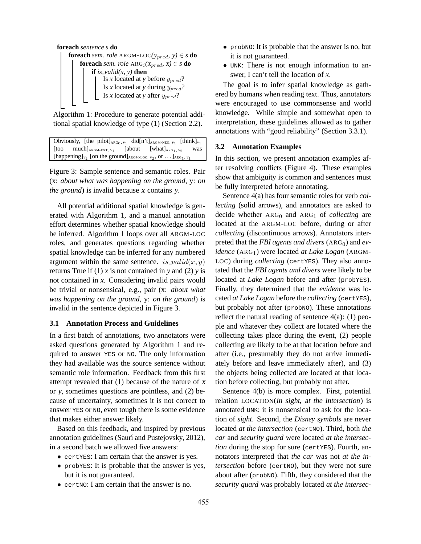

Algorithm 1: Procedure to generate potential additional spatial knowledge of type (1) (Section 2.2).

| Obviously, [the pilot] $_{\text{ARG}_0, v_1}$ did[n't] $_{\text{ARGM-NEG}, v_1}$ [think] $_{v_1}$                                     |  |  |     |  |  |  |  |  |
|---------------------------------------------------------------------------------------------------------------------------------------|--|--|-----|--|--|--|--|--|
| [too much] <sub>ARGM-EXT, <math>v_1</math> [about [what]<math>_{\text{ARG}_1, V_2}</math></sub>                                       |  |  | was |  |  |  |  |  |
| [happening] <sub><math>v_2</math></sub> [on the ground] <sub>ARGM-LOC, <math>v_2</math>, or  ]<sub>ARG1</sub>, <math>v_1</math></sub> |  |  |     |  |  |  |  |  |

Figure 3: Sample sentence and semantic roles. Pair (x: *about what was happening on the ground*, y: *on the ground*) is invalid because <sup>x</sup> contains <sup>y</sup>.

All potential additional spatial knowledge is generated with Algorithm 1, and a manual annotation effort determines whether spatial knowledge should be inferred. Algorithm 1 loops over all ARGM-LOC roles, and generates questions regarding whether spatial knowledge can be inferred for any numbered argument within the same sentence. is valid $(x, y)$ returns True if  $(1)$  *x* is not contained in *y* and  $(2)$  *y* is not contained in *x*. Considering invalid pairs would be trivial or nonsensical, e.g., pair (x: *about what was happening on the ground*, y: *on the ground*) is invalid in the sentence depicted in Figure 3.

### **3.1 Annotation Process and Guidelines**

In a first batch of annotations, two annotators were asked questions generated by Algorithm 1 and required to answer YES or NO. The only information they had available was the source sentence without semantic role information. Feedback from this first attempt revealed that  $(1)$  because of the nature of x or <sup>y</sup>, sometimes questions are pointless, and (2) because of uncertainty, sometimes it is not correct to answer YES or NO, even tough there is some evidence that makes either answer likely.

Based on this feedback, and inspired by previous annotation guidelines (Saurí and Pustejovsky, 2012), in a second batch we allowed five answers:

- certYES: I am certain that the answer is yes.
- probyes: It is probable that the answer is yes, but it is not guaranteed.
- certNO: I am certain that the answer is no.
- probno: It is probable that the answer is no, but it is not guaranteed.
- UNK: There is not enough information to answer, I can't tell the location of *x*.

The goal is to infer spatial knowledge as gathered by humans when reading text. Thus, annotators were encouraged to use commonsense and world knowledge. While simple and somewhat open to interpretation, these guidelines allowed as to gather annotations with "good reliability" (Section 3.3.1).

#### **3.2 Annotation Examples**

In this section, we present annotation examples after resolving conflicts (Figure 4). These examples show that ambiguity is common and sentences must be fully interpreted before annotating.

Sentence 4(a) has four semantic roles for verb *collecting* (solid arrows), and annotators are asked to decide whether  $ARG<sub>0</sub>$  and  $ARG<sub>1</sub>$  of *collecting* are located at the ARGM-LOC before, during or after *collecting* (discontinuous arrows). Annotators interpreted that the *FBI agents and divers* (ARG<sub>0</sub>) and *evidence* (ARG<sub>1</sub>) were located *at Lake Logan* (ARGM-LOC) during *collecting* (certYES). They also annotated that the *FBI agents and divers* were likely to be located at *Lake Logan* before and after (probYES). Finally, they determined that the *evidence* was located *at Lake Logan* before the *collecting* (certYES), but probably not after (probNO). These annotations reflect the natural reading of sentence  $4(a)$ : (1) people and whatever they collect are located where the collecting takes place during the event, (2) people collecting are likely to be at that location before and after (i.e., presumably they do not arrive immediately before and leave immediately after), and (3) the objects being collected are located at that location before collecting, but probably not after.

Sentence 4(b) is more complex. First, potential relation LOCATION(in sight, at the intersection) is annotated UNK: it is nonsensical to ask for the location of *sight*. Second, the *Disney symbols* are never located *at the intersection* (certNO). Third, both *the car* and *security guard* were located *at the intersection* during the stop for sure (certYES). Fourth, annotators interpreted that *the car* was not *at the intersection* before (certNO), but they were not sure about after (probNO). Fifth, they considered that the *security guard* was probably located *at the intersec-*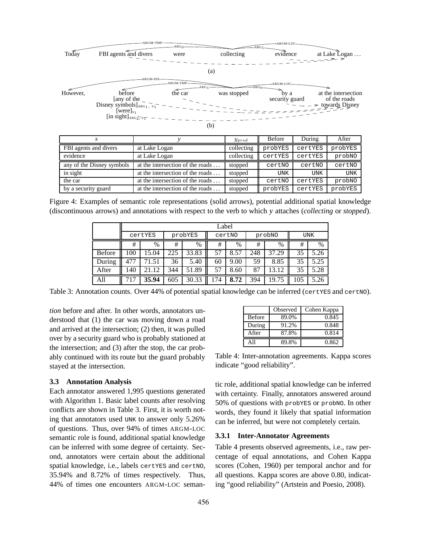

|                           |                                  | <i><b>Ypred</b></i> | Delue      | During     | ARCI       |
|---------------------------|----------------------------------|---------------------|------------|------------|------------|
| FBI agents and divers     | at Lake Logan                    | collecting          | probYES    | certYES    | probYES    |
| evidence                  | at Lake Logan                    | collecting          | certYES    | certYES    | probNO     |
| any of the Disney symbols | at the intersection of the roads | stopped             | certNO     | certNO     | certNO     |
| in sight                  | at the intersection of the roads | stopped             | <b>UNK</b> | <b>UNK</b> | <b>UNK</b> |
| the car                   | at the intersection of the roads | stopped             | certNO     | certYES    | probNO     |
| by a security guard       | at the intersection of the roads | stopped             | probYES    | certYES    | probYES    |

Figure 4: Examples of semantic role representations (solid arrows), potential additional spatial knowledge (discontinuous arrows) and annotations with respect to the verb to which <sup>y</sup> attaches (*collecting* or *stopped*).

|               |         | Label |         |       |        |      |     |        |            |      |  |  |  |
|---------------|---------|-------|---------|-------|--------|------|-----|--------|------------|------|--|--|--|
|               | certYES |       | probYES |       | certNO |      |     | probNO | <b>UNK</b> |      |  |  |  |
|               | #       | %     | #       | %     | #      | $\%$ | #   | $\%$   | #          | %    |  |  |  |
| <b>Before</b> | 100     | 15.04 | 225     | 33.83 | 57     | 8.57 | 248 | 37.29  | 35         | 5.26 |  |  |  |
| During        | 477     | 71.51 | 36      | 5.40  | 60     | 9.00 | 59  | 8.85   | 35         | 5.25 |  |  |  |
| After         | 140     | 21.12 | 344     | 51.89 | 57     | 8.60 | 87  | 3.12   | 35         | 5.28 |  |  |  |
| All           |         | 35.94 | 605     | 30.33 | 74     | 8.72 | 394 | 19.75  | 105        | 5.26 |  |  |  |

Table 3: Annotation counts. Over 44% of potential spatial knowledge can be inferred (certYES and certNO).

*tion* before and after. In other words, annotators understood that (1) the car was moving down a road and arrived at the intersection; (2) then, it was pulled over by a security guard who is probably stationed at the intersection; and (3) after the stop, the car probably continued with its route but the guard probably stayed at the intersection.

### **3.3 Annotation Analysis**

Each annotator answered 1,995 questions generated with Algorithm 1. Basic label counts after resolving conflicts are shown in Table 3. First, it is worth noting that annotators used UNK to answer only 5.26% of questions. Thus, over 94% of times ARGM-LOC semantic role is found, additional spatial knowledge can be inferred with some degree of certainty. Second, annotators were certain about the additional spatial knowledge, i.e., labels certYES and certNO, 35.94% and 8.72% of times respectively. Thus, 44% of times one encounters ARGM-LOC seman-

|               | Observed | Cohen Kappa |
|---------------|----------|-------------|
| <b>Before</b> | 89.0%    | 0.845       |
| During        | 91.2%    | 0.848       |
| After         | 87.8%    | 0.814       |
| $\Delta$ 11   | 89.8%    | 0.862       |

Table 4: Inter-annotation agreements. Kappa scores indicate "good reliability".

tic role, additional spatial knowledge can be inferred with certainty. Finally, annotators answered around 50% of questions with probYES or probNO. In other words, they found it likely that spatial information can be inferred, but were not completely certain.

#### **3.3.1 Inter-Annotator Agreements**

Table 4 presents observed agreements, i.e., raw percentage of equal annotations, and Cohen Kappa scores (Cohen, 1960) per temporal anchor and for all questions. Kappa scores are above 0.80, indicating "good reliability" (Artstein and Poesio, 2008).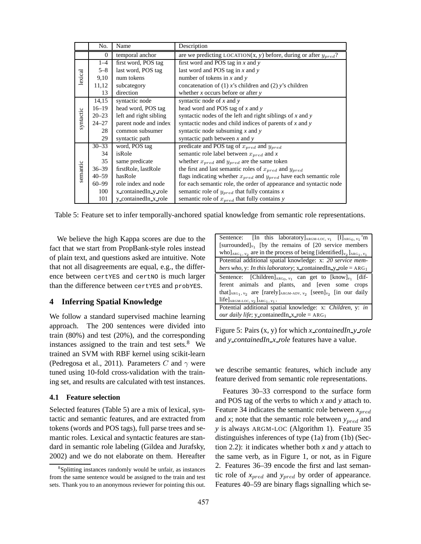|           | No.          | Name                   | Description                                                                |  |  |  |  |  |  |
|-----------|--------------|------------------------|----------------------------------------------------------------------------|--|--|--|--|--|--|
|           | $\mathbf{0}$ | temporal anchor        | are we predicting LOCATION(x, y) before, during or after $y_{pred}$ ?      |  |  |  |  |  |  |
|           | $1 - 4$      | first word, POS tag    | first word and POS tag in x and y                                          |  |  |  |  |  |  |
|           | $5 - 8$      | last word, POS tag     | last word and POS tag in $x$ and $y$                                       |  |  |  |  |  |  |
| lexical   | 9,10         | num tokens             | number of tokens in $x$ and $y$                                            |  |  |  |  |  |  |
|           | 11,12        | subcategory            | concatenation of (1) x's children and (2) y's children                     |  |  |  |  |  |  |
|           | 13           | direction              | whether $x$ occurs before or after $y$                                     |  |  |  |  |  |  |
|           | 14,15        | syntactic node         | syntactic node of $x$ and $y$                                              |  |  |  |  |  |  |
|           | $16 - 19$    | head word, POS tag     | head word and POS tag of $x$ and $y$                                       |  |  |  |  |  |  |
|           | $20 - 23$    | left and right sibling | syntactic nodes of the left and right siblings of x and y                  |  |  |  |  |  |  |
| syntactic | $24 - 27$    | parent node and index  | syntactic nodes and child indices of parents of $x$ and $y$                |  |  |  |  |  |  |
|           | 28           | common subsumer        | syntactic node subsuming $x$ and $y$                                       |  |  |  |  |  |  |
|           | 29           | syntactic path         | syntactic path between $x$ and $y$                                         |  |  |  |  |  |  |
|           | $30 - 33$    | word, POS tag          | predicate and POS tag of $x_{pred}$ and $y_{pred}$                         |  |  |  |  |  |  |
|           | 34           | isRole                 | semantic role label between $x_{pred}$ and x                               |  |  |  |  |  |  |
|           | 35           | same predicate         | whether $x_{pred}$ and $y_{pred}$ are the same token                       |  |  |  |  |  |  |
|           | $36 - 39$    | firstRole, lastRole    | the first and last semantic roles of $x_{pred}$ and $y_{pred}$             |  |  |  |  |  |  |
| semantic  | $40 - 59$    | hasRole                | flags indicating whether $x_{pred}$ and $y_{pred}$ have each semantic role |  |  |  |  |  |  |
|           | $60 - 99$    | role index and node    | for each semantic role, the order of appearance and syntactic node         |  |  |  |  |  |  |
|           | 100          | x_containedIn_y_role   | semantic role of $y_{pred}$ that fully contains x                          |  |  |  |  |  |  |
|           | 101          | y_containedIn_x_role   | semantic role of $x_{pred}$ that fully contains y                          |  |  |  |  |  |  |

Table 5: Feature set to infer temporally-anchored spatial knowledge from semantic role representations.

We believe the high Kappa scores are due to the fact that we start from PropBank-style roles instead of plain text, and questions asked are intuitive. Note that not all disagreements are equal, e.g., the difference between certYES and certNO is much larger than the difference between certYES and probYES.

## **4 Inferring Spatial Knowledge**

We follow a standard supervised machine learning approach. The 200 sentences were divided into train (80%) and test (20%), and the corresponding instances assigned to the train and test sets. $8$  We trained an SVM with RBF kernel using scikit-learn (Pedregosa et al., 2011). Parameters C and  $\gamma$  were tuned using 10-fold cross-validation with the training set, and results are calculated with test instances.

### **4.1 Feature selection**

Selected features (Table 5) are a mix of lexical, syntactic and semantic features, and are extracted from tokens (words and POS tags), full parse trees and semantic roles. Lexical and syntactic features are standard in semantic role labeling (Gildea and Jurafsky, 2002) and we do not elaborate on them. Hereafter

| Sentence: [In this laboratory] <sub>ARGM-LOC, <math>v_1</math> [I]<sub>ARG<sub>0</sub>, <math>v_1</math><sup>'</sup>m</sub></sub> |
|-----------------------------------------------------------------------------------------------------------------------------------|
| [surrounded] $v_1$ [by the remains of [20 service members]                                                                        |
| who $]$ <sub>ARG1</sub> , $v_2$ are in the process of being [identified] <sub><math>v_2</math></sub> ] <sub>ARG1</sub> , $v_1$    |
| Potential additional spatial knowledge: x: 20 service mem-                                                                        |
| <i>bers who, y: In this laboratory; x_containedIn_y_role = ARG<sub>1</sub></i>                                                    |
| Sentence: [Children] <sub>ARG0</sub> , $v_1$ can get to [know] <sub><math>v_1</math></sub> [dif-                                  |
| ferent animals and plants, and [even some crops                                                                                   |
| that $]$ <sub>ARG1</sub> , $v_2$ are [rarely] <sub>ARGM-ADV</sub> , $v_2$ [seen] $v_2$ [in our daily                              |
| life] $_{ARGM\text{-}LOC, v_2}$ ] $_{ARG_1, v_1}$ .                                                                               |
| Potential additional spatial knowledge: x: Children, y: in                                                                        |
| <i>our daily life</i> ; y_containedIn_x_role = $ARG_1$                                                                            |

Figure 5: Pairs (x, y) for which *x containedIn y role* and *y containedIn x role* features have a value.

we describe semantic features, which include any feature derived from semantic role representations.

Features 30–33 correspond to the surface form and POS tag of the verbs to which *x* and *y* attach to. Feature 34 indicates the semantic role between  $x_{pred}$ and  $x$ ; note that the semantic role between  $y_{pred}$  and *y* is always ARGM-LOC (Algorithm 1). Feature 35 distinguishes inferences of type (1a) from (1b) (Section 2.2): it indicates whether both *x* and *y* attach to the same verb, as in Figure 1, or not, as in Figure 2. Features 36–39 encode the first and last semantic role of  $x_{pred}$  and  $y_{pred}$  by order of appearance. Features 40–59 are binary flags signalling which se-

<sup>8</sup>Splitting instances randomly would be unfair, as instances from the same sentence would be assigned to the train and test sets. Thank you to an anonymous reviewer for pointing this out.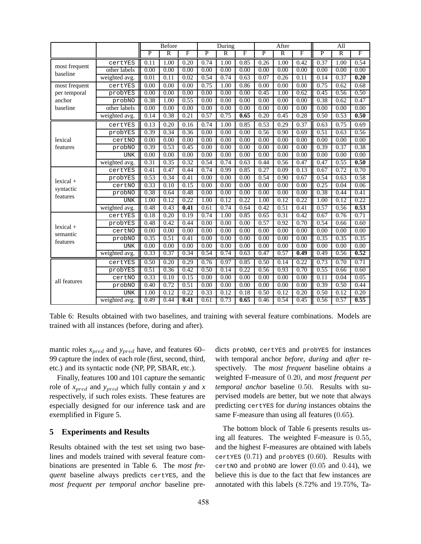|               |               | <b>Before</b>  |                   |      |                | During         |                         |                | After          |                | All            |                |                         |
|---------------|---------------|----------------|-------------------|------|----------------|----------------|-------------------------|----------------|----------------|----------------|----------------|----------------|-------------------------|
|               |               | $\overline{P}$ | $\overline{R}$    | F    | $\overline{P}$ | $\overline{R}$ | $\overline{\mathrm{F}}$ | $\overline{P}$ | $\overline{R}$ | $\overline{F}$ | $\overline{P}$ | $\overline{R}$ | $\overline{\mathrm{F}}$ |
|               | certYES       | 0.11           | $1.\overline{00}$ | 0.20 | 0.74           | 1.00           | 0.85                    | 0.26           | 1.00           | 0.42           | 0.37           | 1.00           | 0.54                    |
| most frequent | other labels  | 0.00           | 0.00              | 0.00 | 0.00           | 0.00           | 0.00                    | 0.00           | 0.00           | 0.00           | 0.00           | 0.00           | 0.00                    |
| baseline      | weighted avg. | 0.01           | 0.11              | 0.02 | 0.54           | 0.74           | 0.63                    | 0.07           | 0.26           | 0.11           | 0.14           | 0.37           | 0.20                    |
| most frequent | certYES       | 0.00           | 0.00              | 0.00 | 0.75           | 1.00           | 0.86                    | 0.00           | 0.00           | 0.00           | 0.75           | 0.62           | 0.68                    |
| per temporal  | probYES       | 0.00           | 0.00              | 0.00 | 0.00           | 0.00           | 0.00                    | 0.45           | 1.00           | 0.62           | 0.45           | 0.56           | 0.50                    |
| anchor        | probNO        | 0.38           | 1.00              | 0.55 | 0.00           | 0.00           | 0.00                    | 0.00           | 0.00           | 0.00           | 0.38           | 0.62           | 0.47                    |
| baseline      | other labels  | 0.00           | 0.00              | 0.00 | 0.00           | 0.00           | 0.00                    | 0.00           | 0.00           | 0.00           | 0.00           | 0.00           | 0.00                    |
|               | weighted avg. | 0.14           | 0.38              | 0.21 | 0.57           | 0.75           | 0.65                    | 0.20           | 0.45           | 0.28           | 0.50           | 0.53           | 0.50                    |
|               | certYES       | 0.13           | 0.20              | 0.16 | 0.74           | 1.00           | 0.85                    | 0.53           | 0.29           | 0.37           | 0.63           | 0.75           | 0.69                    |
|               | probYES       | 0.39           | 0.34              | 0.36 | 0.00           | 0.00           | 0.00                    | 0.56           | 0.90           | 0.69           | 0.51           | 0.63           | 0.56                    |
| lexical       | certNO        | 0.00           | 0.00              | 0.00 | 0.00           | 0.00           | 0.00                    | 0.00           | 0.00           | 0.00           | 0.00           | 0.00           | 0.00                    |
| features      | probNO        | 0.39           | 0.53              | 0.45 | 0.00           | 0.00           | 0.00                    | 0.00           | 0.00           | 0.00           | 0.39           | 0.37           | 0.38                    |
|               | <b>UNK</b>    | 0.00           | 0.00              | 0.00 | 0.00           | 0.00           | 0.00                    | 0.00           | 0.00           | 0.00           | 0.00           | 0.00           | 0.00                    |
|               | weighted avg. | 0.31           | 0.35              | 0.32 | 0.54           | 0.74           | 0.63                    | 0.44           | 0.56           | 0.47           | 0.47           | 0.55           | 0.50                    |
|               | certYES       | 0.41           | 0.47              | 0.44 | 0.74           | 0.99           | 0.85                    | 0.27           | 0.09           | 0.13           | 0.67           | 0.72           | 0.70                    |
| $lexical +$   | probYES       | 0.53           | 0.34              | 0.41 | 0.00           | 0.00           | 0.00                    | 0.54           | 0.90           | 0.67           | 0.54           | 0.63           | 0.58                    |
| syntactic     | certNO        | 0.33           | 0.10              | 0.15 | 0.00           | 0.00           | 0.00                    | 0.00           | 0.00           | 0.00           | 0.25           | 0.04           | 0.06                    |
| features      | probNO        | 0.38           | 0.64              | 0.48 | 0.00           | 0.00           | 0.00                    | 0.00           | 0.00           | 0.00           | 0.38           | 0.44           | 0.41                    |
|               | <b>UNK</b>    | 1.00           | 0.12              | 0.22 | 1.00           | 0.12           | 0.22                    | 1.00           | 0.12           | 0.22           | 1.00           | 0.12           | 0.22                    |
|               | weighted avg. | 0.48           | 0.43              | 0.41 | 0.61           | 0.74           | 0.64                    | 0.42           | 0.51           | 0.41           | 0.57           | 0.56           | 0.53                    |
|               | certYES       | 0.18           | 0.20              | 0.19 | 0.74           | 1.00           | 0.85                    | 0.65           | 0.31           | 0.42           | 0.67           | 0.76           | 0.71                    |
| $lexical +$   | probYES       | 0.48           | 0.42              | 0.44 | 0.00           | 0.00           | 0.00                    | 0.57           | 0.92           | 0.70           | 0.54           | 0.66           | 0.60                    |
| semantic      | certNO        | 0.00           | 0.00              | 0.00 | 0.00           | 0.00           | 0.00                    | 0.00           | 0.00           | 0.00           | 0.00           | 0.00           | 0.00                    |
| features      | probNO        | 0.35           | 0.51              | 0.41 | 0.00           | 0.00           | 0.00                    | 0.00           | 0.00           | 0.00           | 0.35           | 0.35           | 0.35                    |
|               | <b>UNK</b>    | 0.00           | 0.00              | 0.00 | 0.00           | 0.00           | 0.00                    | 0.00           | 0.00           | 0.00           | 0.00           | 0.00           | 0.00                    |
|               | weighted avg. | 0.33           | 0.37              | 0.34 | 0.54           | 0.74           | 0.63                    | 0.47           | 0.57           | 0.49           | 0.49           | 0.56           | 0.52                    |
|               | certYES       | 0.50           | 0.20              | 0.29 | 0.76           | 0.97           | 0.85                    | 0.50           | 0.14           | 0.22           | 0.73           | 0.70           | 0.71                    |
|               | probYES       | 0.51           | 0.36              | 0.42 | 0.50           | 0.14           | 0.22                    | 0.56           | 0.93           | 0.70           | 0.55           | 0.66           | 0.60                    |
| all features  | certNO        | 0.33           | 0.10              | 0.15 | 0.00           | 0.00           | 0.00                    | 0.00           | 0.00           | 0.00           | 0.11           | 0.04           | 0.05                    |
|               | probNO        | 0.40           | 0.72              | 0.51 | 0.00           | 0.00           | 0.00                    | 0.00           | 0.00           | 0.00           | 0.39           | 0.50           | 0.44                    |
|               | <b>UNK</b>    | 1.00           | 0.12              | 0.22 | 0.33           | 0.12           | 0.18                    | 0.50           | 0.12           | 0.20           | 0.50           | 0.12           | 0.20                    |
|               | weighted avg. | 0.49           | 0.44              | 0.41 | 0.61           | 0.73           | 0.65                    | 0.46           | 0.54           | 0.45           | 0.56           | 0.57           | 0.55                    |

Table 6: Results obtained with two baselines, and training with several feature combinations. Models are trained with all instances (before, during and after).

mantic roles  $x_{pred}$  and  $y_{pred}$  have, and features 60– 99 capture the index of each role (first, second, third, etc.) and its syntactic node (NP, PP, SBAR, etc.).

Finally, features 100 and 101 capture the semantic role of  $x_{pred}$  and  $y_{pred}$  which fully contain *y* and *x* respectively, if such roles exists. These features are especially designed for our inference task and are exemplified in Figure 5.

#### **5 Experiments and Results**

Results obtained with the test set using two baselines and models trained with several feature combinations are presented in Table 6. The *most frequent* baseline always predicts certYES, and the *most frequent per temporal anchor* baseline predicts probNO, certYES and probYES for instances with temporal anchor *before*, *during* and *after* respectively. The *most frequent* baseline obtains a weighted F-measure of 0.20, and *most frequent per temporal anchor* baseline 0.50. Results with supervised models are better, but we note that always predicting certYES for *during* instances obtains the same F-measure than using all features (0.65).

The bottom block of Table 6 presents results using all features. The weighted F-measure is 0.55, and the highest F-measures are obtained with labels certYES  $(0.71)$  and probYES  $(0.60)$ . Results with certNO and probNO are lower  $(0.05$  and  $0.44)$ , we believe this is due to the fact that few instances are annotated with this labels (8.72% and 19.75%, Ta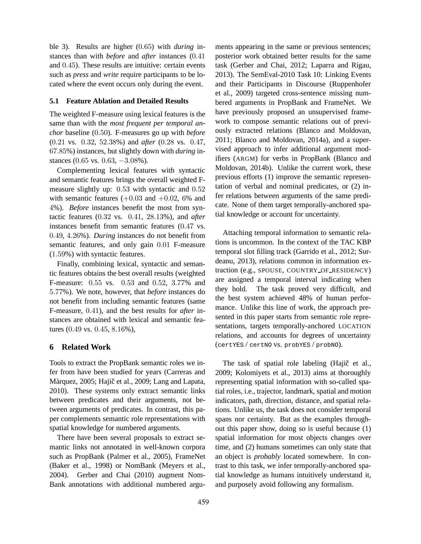ble 3). Results are higher (0.65) with *during* instances than with *before* and *after* instances (0.41 and 0.45). These results are intuitive: certain events such as *press* and *write* require participants to be located where the event occurs only during the event.

#### **5.1 Feature Ablation and Detailed Results**

The weighted F-measure using lexical features is the same than with the *most frequent per temporal anchor* baseline (0.50). F-measures go up with *before* (0.21 vs. 0.32, 52.38%) and *after* (0.28 vs. 0.47, 67.85%) instances, but slightly down with *during* instances (0.65 vs. 0.63, −3.08%).

Complementing lexical features with syntactic and semantic features brings the overall weighted Fmeasure slightly up: 0.53 with syntactic and 0.52 with semantic features  $(+0.03 \text{ and } +0.02, 6\% \text{ and }$ 4%). *Before* instances benefit the most from syntactic features (0.32 vs. 0.41, 28.13%), and *after* instances benefit from semantic features (0.47 vs. 0.49, 4.26%). *During* instances do not benefit from semantic features, and only gain 0.01 F-measure (1.59%) with syntactic features.

Finally, combining lexical, syntactic and semantic features obtains the best overall results (weighted F-measure: 0.55 vs. 0.53 and 0.52, 3.77% and 5.77%). We note, however, that *before* instances do not benefit from including semantic features (same F-measure, 0.41), and the best results for *after* instances are obtained with lexical and semantic features (0.49 vs. 0.45, 8.16%),

# **6 Related Work**

Tools to extract the PropBank semantic roles we infer from have been studied for years (Carreras and Màrquez, 2005; Hajič et al., 2009; Lang and Lapata, 2010). These systems only extract semantic links between predicates and their arguments, not between arguments of predicates. In contrast, this paper complements semantic role representations with spatial knowledge for numbered arguments.

There have been several proposals to extract semantic links not annotated in well-known corpora such as PropBank (Palmer et al., 2005), FrameNet (Baker et al., 1998) or NomBank (Meyers et al., 2004). Gerber and Chai (2010) augment Nom-Bank annotations with additional numbered arguments appearing in the same or previous sentences; posterior work obtained better results for the same task (Gerber and Chai, 2012; Laparra and Rigau, 2013). The SemEval-2010 Task 10: Linking Events and their Participants in Discourse (Ruppenhofer et al., 2009) targeted cross-sentence missing numbered arguments in PropBank and FrameNet. We have previously proposed an unsupervised framework to compose semantic relations out of previously extracted relations (Blanco and Moldovan, 2011; Blanco and Moldovan, 2014a), and a supervised approach to infer additional argument modifiers (ARGM) for verbs in PropBank (Blanco and Moldovan, 2014b). Unlike the current work, these previous efforts (1) improve the semantic representation of verbal and nominal predicates, or (2) infer relations between arguments of the same predicate. None of them target temporally-anchored spatial knowledge or account for uncertainty.

Attaching temporal information to semantic relations is uncommon. In the context of the TAC KBP temporal slot filling track (Garrido et al., 2012; Surdeanu, 2013), relations common in information extraction (e.g., SPOUSE, COUNTRY OF RESIDENCY) are assigned a temporal interval indicating when they hold. The task proved very difficult, and the best system achieved 48% of human performance. Unlike this line of work, the approach presented in this paper starts from semantic role representations, targets temporally-anchored LOCATION relations, and accounts for degrees of uncertainty (certYES / certNO vs. probYES / probNO).

The task of spatial role labeling (Hajič et al., 2009; Kolomiyets et al., 2013) aims at thoroughly representing spatial information with so-called spatial roles, i.e., trajector, landmark, spatial and motion indicators, path, direction, distance, and spatial relations. Unlike us, the task does not consider temporal spans nor certainty. But as the examples throughout this paper show, doing so is useful because (1) spatial information for most objects changes over time, and (2) humans sometimes can only state that an object is *probably* located somewhere. In contrast to this task, we infer temporally-anchored spatial knowledge as humans intuitively understand it, and purposely avoid following any formalism.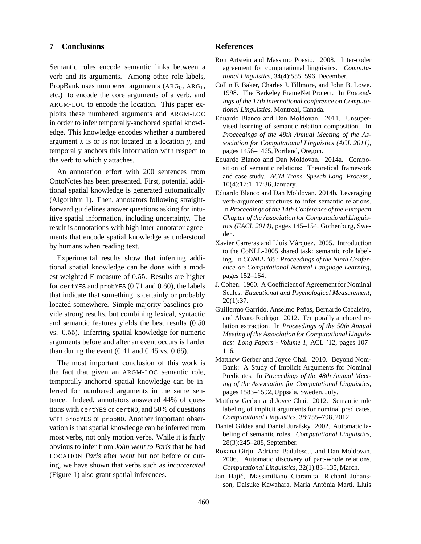# **7 Conclusions**

Semantic roles encode semantic links between a verb and its arguments. Among other role labels, PropBank uses numbered arguments  $(ARG<sub>0</sub>, ARG<sub>1</sub>)$ , etc.) to encode the core arguments of a verb, and ARGM-LOC to encode the location. This paper exploits these numbered arguments and ARGM-LOC in order to infer temporally-anchored spatial knowledge. This knowledge encodes whether a numbered argument *x* is or is not located in a location *y*, and temporally anchors this information with respect to the verb to which *y* attaches.

An annotation effort with 200 sentences from OntoNotes has been presented. First, potential additional spatial knowledge is generated automatically (Algorithm 1). Then, annotators following straightforward guidelines answer questions asking for intuitive spatial information, including uncertainty. The result is annotations with high inter-annotator agreements that encode spatial knowledge as understood by humans when reading text.

Experimental results show that inferring additional spatial knowledge can be done with a modest weighted F-measure of 0.55. Results are higher for certy and probyes  $(0.71 \text{ and } 0.60)$ , the labels that indicate that something is certainly or probably located somewhere. Simple majority baselines provide strong results, but combining lexical, syntactic and semantic features yields the best results (0.50 vs. 0.55). Inferring spatial knowledge for numeric arguments before and after an event occurs is harder than during the event  $(0.41$  and  $0.45$  vs.  $0.65$ ).

The most important conclusion of this work is the fact that given an ARGM-LOC semantic role, temporally-anchored spatial knowledge can be inferred for numbered arguments in the same sentence. Indeed, annotators answered 44% of questions with certYES or certNO, and 50% of questions with probYES or probNO. Another important observation is that spatial knowledge can be inferred from most verbs, not only motion verbs. While it is fairly obvious to infer from *John went to Paris* that he had LOCATION *Paris* after *went* but not before or during, we have shown that verbs such as *incarcerated* (Figure 1) also grant spatial inferences.

# **References**

- Ron Artstein and Massimo Poesio. 2008. Inter-coder agreement for computational linguistics. *Computational Linguistics*, 34(4):555–596, December.
- Collin F. Baker, Charles J. Fillmore, and John B. Lowe. 1998. The Berkeley FrameNet Project. In *Proceedings of the 17th international conference on Computational Linguistics*, Montreal, Canada.
- Eduardo Blanco and Dan Moldovan. 2011. Unsupervised learning of semantic relation composition. In *Proceedings of the 49th Annual Meeting of the Association for Computational Linguistics (ACL 2011)*, pages 1456–1465, Portland, Oregon.
- Eduardo Blanco and Dan Moldovan. 2014a. Composition of semantic relations: Theoretical framework and case study. *ACM Trans. Speech Lang. Process.*, 10(4):17:1–17:36, January.
- Eduardo Blanco and Dan Moldovan. 2014b. Leveraging verb-argument structures to infer semantic relations. In *Proceedings of the 14th Conference of the European Chapter of the Association for Computational Linguistics (EACL 2014)*, pages 145–154, Gothenburg, Sweden.
- Xavier Carreras and Lluís Màrquez. 2005. Introduction to the CoNLL-2005 shared task: semantic role labeling. In *CONLL '05: Proceedings of the Ninth Conference on Computational Natural Language Learning*, pages 152–164.
- J. Cohen. 1960. A Coefficient of Agreement for Nominal Scales. *Educational and Psychological Measurement*, 20(1):37.
- Guillermo Garrido, Anselmo Peñas, Bernardo Cabaleiro, and Álvaro Rodrigo. 2012. Temporally anchored relation extraction. In *Proceedings of the 50th Annual Meeting of the Association for Computational Linguistics: Long Papers - Volume 1*, ACL '12, pages 107– 116.
- Matthew Gerber and Joyce Chai. 2010. Beyond Nom-Bank: A Study of Implicit Arguments for Nominal Predicates. In *Proceedings of the 48th Annual Meeting of the Association for Computational Linguistics*, pages 1583–1592, Uppsala, Sweden, July.
- Matthew Gerber and Joyce Chai. 2012. Semantic role labeling of implicit arguments for nominal predicates. *Computational Linguistics*, 38:755–798, 2012.
- Daniel Gildea and Daniel Jurafsky. 2002. Automatic labeling of semantic roles. *Computational Linguistics*, 28(3):245–288, September.
- Roxana Girju, Adriana Badulescu, and Dan Moldovan. 2006. Automatic discovery of part-whole relations. *Computational Linguistics*, 32(1):83–135, March.
- Jan Hajič, Massimiliano Ciaramita, Richard Johansson, Daisuke Kawahara, Maria Antònia Martí, Lluís